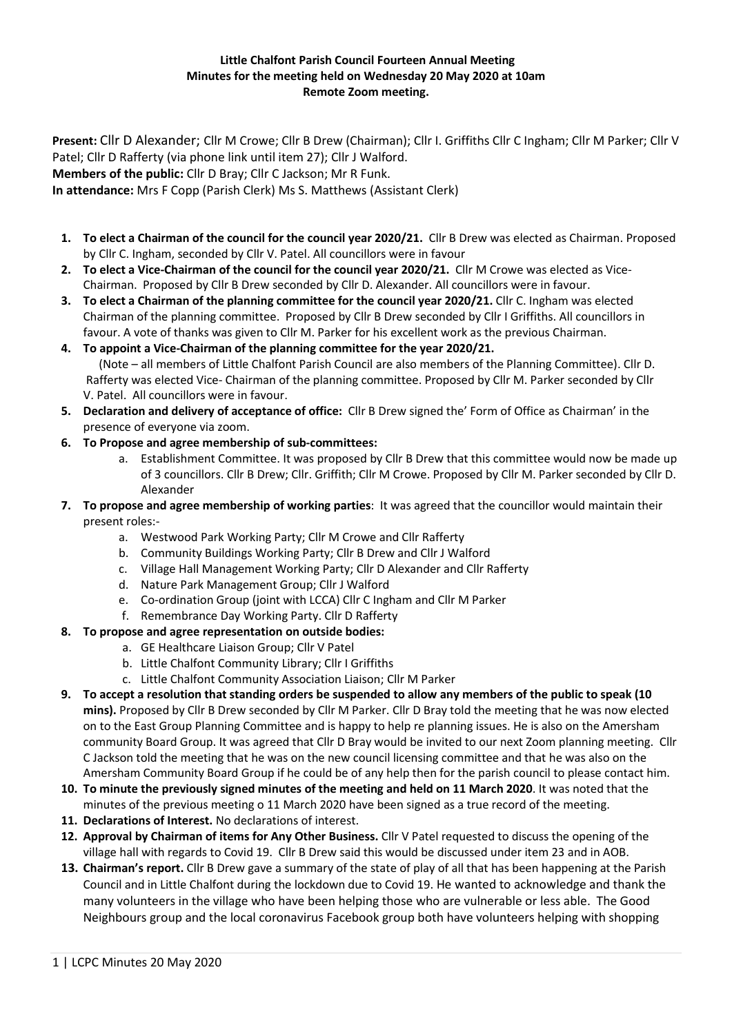## **Little Chalfont Parish Council Fourteen Annual Meeting Minutes for the meeting held on Wednesday 20 May 2020 at 10am Remote Zoom meeting.**

**Present:** Cllr D Alexander; Cllr M Crowe; Cllr B Drew (Chairman); Cllr I. Griffiths Cllr C Ingham; Cllr M Parker; Cllr V Patel; Cllr D Rafferty (via phone link until item 27); Cllr J Walford. **Members of the public:** Cllr D Bray; Cllr C Jackson; Mr R Funk.

**In attendance:** Mrs F Copp (Parish Clerk) Ms S. Matthews (Assistant Clerk)

- **1. To elect a Chairman of the council for the council year 2020/21.** Cllr B Drew was elected as Chairman. Proposed by Cllr C. Ingham, seconded by Cllr V. Patel. All councillors were in favour
- **2. To elect a Vice-Chairman of the council for the council year 2020/21.** Cllr M Crowe was elected as Vice-Chairman. Proposed by Cllr B Drew seconded by Cllr D. Alexander. All councillors were in favour.
- **3. To elect a Chairman of the planning committee for the council year 2020/21.** Cllr C. Ingham was elected Chairman of the planning committee. Proposed by Cllr B Drew seconded by Cllr I Griffiths. All councillors in favour. A vote of thanks was given to Cllr M. Parker for his excellent work as the previous Chairman.
- **4. To appoint a Vice-Chairman of the planning committee for the year 2020/21.** (Note – all members of Little Chalfont Parish Council are also members of the Planning Committee). Cllr D. Rafferty was elected Vice- Chairman of the planning committee. Proposed by Cllr M. Parker seconded by Cllr V. Patel. All councillors were in favour.
- **5. Declaration and delivery of acceptance of office:** Cllr B Drew signed the' Form of Office as Chairman' in the presence of everyone via zoom.
- **6. To Propose and agree membership of sub-committees:**
	- a. Establishment Committee. It was proposed by Cllr B Drew that this committee would now be made up of 3 councillors. Cllr B Drew; Cllr. Griffith; Cllr M Crowe. Proposed by Cllr M. Parker seconded by Cllr D. Alexander
- **7. To propose and agree membership of working parties**: It was agreed that the councillor would maintain their present roles:
	- a. Westwood Park Working Party; Cllr M Crowe and Cllr Rafferty
	- b. Community Buildings Working Party; Cllr B Drew and Cllr J Walford
	- c. Village Hall Management Working Party; Cllr D Alexander and Cllr Rafferty
	- d. Nature Park Management Group; Cllr J Walford
	- e. Co-ordination Group (joint with LCCA) Cllr C Ingham and Cllr M Parker
	- f. Remembrance Day Working Party. Cllr D Rafferty
- **8. To propose and agree representation on outside bodies:**
	- a. GE Healthcare Liaison Group; Cllr V Patel
	- b. Little Chalfont Community Library; Cllr I Griffiths
	- c. Little Chalfont Community Association Liaison; Cllr M Parker
- **9. To accept a resolution that standing orders be suspended to allow any members of the public to speak (10 mins).** Proposed by Cllr B Drew seconded by Cllr M Parker. Cllr D Bray told the meeting that he was now elected on to the East Group Planning Committee and is happy to help re planning issues. He is also on the Amersham community Board Group. It was agreed that Cllr D Bray would be invited to our next Zoom planning meeting. Cllr C Jackson told the meeting that he was on the new council licensing committee and that he was also on the Amersham Community Board Group if he could be of any help then for the parish council to please contact him.
- **10. To minute the previously signed minutes of the meeting and held on 11 March 2020**. It was noted that the minutes of the previous meeting o 11 March 2020 have been signed as a true record of the meeting.
- **11. Declarations of Interest.** No declarations of interest.
- **12. Approval by Chairman of items for Any Other Business.** Cllr V Patel requested to discuss the opening of the village hall with regards to Covid 19. Cllr B Drew said this would be discussed under item 23 and in AOB.
- **13. Chairman's report.** Cllr B Drew gave a summary of the state of play of all that has been happening at the Parish Council and in Little Chalfont during the lockdown due to Covid 19. He wanted to acknowledge and thank the many volunteers in the village who have been helping those who are vulnerable or less able. The Good Neighbours group and the local coronavirus Facebook group both have volunteers helping with shopping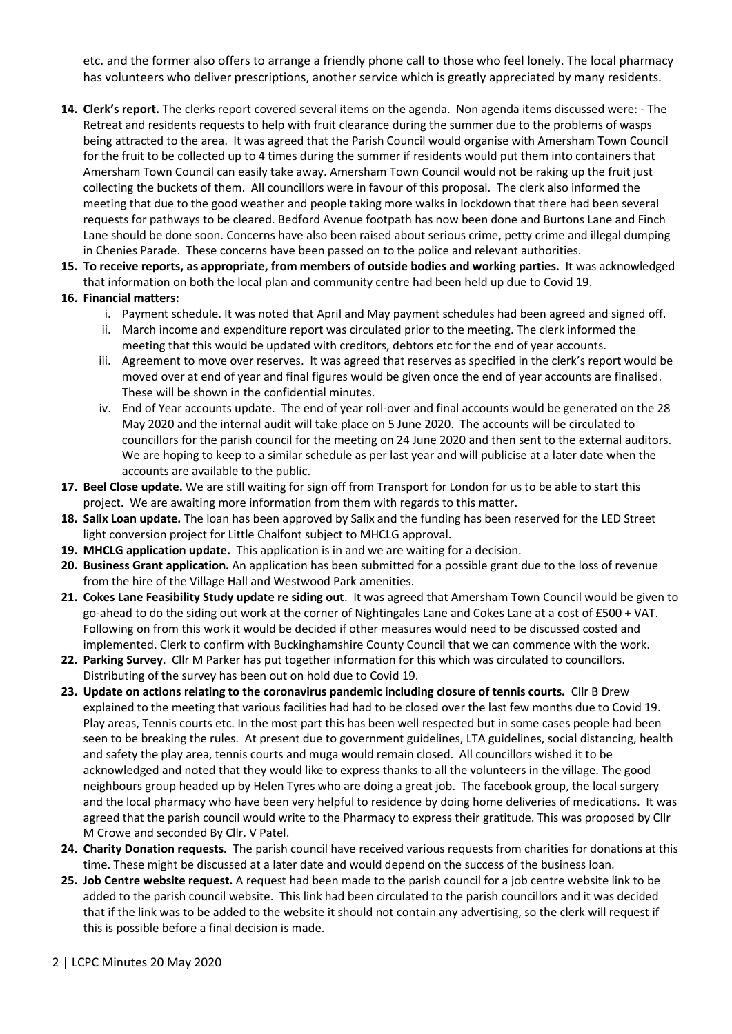etc. and the former also offers to arrange a friendly phone call to those who feel lonely. The local pharmacy has volunteers who deliver prescriptions, another service which is greatly appreciated by many residents.

- **14. Clerk's report.** The clerks report covered several items on the agenda. Non agenda items discussed were: The Retreat and residents requests to help with fruit clearance during the summer due to the problems of wasps being attracted to the area. It was agreed that the Parish Council would organise with Amersham Town Council for the fruit to be collected up to 4 times during the summer if residents would put them into containers that Amersham Town Council can easily take away. Amersham Town Council would not be raking up the fruit just collecting the buckets of them. All councillors were in favour of this proposal. The clerk also informed the meeting that due to the good weather and people taking more walks in lockdown that there had been several requests for pathways to be cleared. Bedford Avenue footpath has now been done and Burtons Lane and Finch Lane should be done soon. Concerns have also been raised about serious crime, petty crime and illegal dumping in Chenies Parade. These concerns have been passed on to the police and relevant authorities.
- **15. To receive reports, as appropriate, from members of outside bodies and working parties.** It was acknowledged that information on both the local plan and community centre had been held up due to Covid 19.

## **16. Financial matters:**

- i. Payment schedule. It was noted that April and May payment schedules had been agreed and signed off.
- ii. March income and expenditure report was circulated prior to the meeting. The clerk informed the meeting that this would be updated with creditors, debtors etc for the end of year accounts.
- iii. Agreement to move over reserves. It was agreed that reserves as specified in the clerk's report would be moved over at end of year and final figures would be given once the end of year accounts are finalised. These will be shown in the confidential minutes.
- iv. End of Year accounts update. The end of year roll-over and final accounts would be generated on the 28 May 2020 and the internal audit will take place on 5 June 2020. The accounts will be circulated to councillors for the parish council for the meeting on 24 June 2020 and then sent to the external auditors. We are hoping to keep to a similar schedule as per last year and will publicise at a later date when the accounts are available to the public.
- **17. Beel Close update.** We are still waiting for sign off from Transport for London for us to be able to start this project. We are awaiting more information from them with regards to this matter.
- **18. Salix Loan update.** The loan has been approved by Salix and the funding has been reserved for the LED Street light conversion project for Little Chalfont subject to MHCLG approval.
- **19. MHCLG application update.** This application is in and we are waiting for a decision.
- **20. Business Grant application.** An application has been submitted for a possible grant due to the loss of revenue from the hire of the Village Hall and Westwood Park amenities.
- **21. Cokes Lane Feasibility Study update re siding out**. It was agreed that Amersham Town Council would be given to go-ahead to do the siding out work at the corner of Nightingales Lane and Cokes Lane at a cost of £500 + VAT. Following on from this work it would be decided if other measures would need to be discussed costed and implemented. Clerk to confirm with Buckinghamshire County Council that we can commence with the work.
- **22. Parking Survey**. Cllr M Parker has put together information for this which was circulated to councillors. Distributing of the survey has been out on hold due to Covid 19.
- **23. Update on actions relating to the coronavirus pandemic including closure of tennis courts.** Cllr B Drew explained to the meeting that various facilities had had to be closed over the last few months due to Covid 19. Play areas, Tennis courts etc. In the most part this has been well respected but in some cases people had been seen to be breaking the rules. At present due to government guidelines, LTA guidelines, social distancing, health and safety the play area, tennis courts and muga would remain closed. All councillors wished it to be acknowledged and noted that they would like to express thanks to all the volunteers in the village. The good neighbours group headed up by Helen Tyres who are doing a great job. The facebook group, the local surgery and the local pharmacy who have been very helpful to residence by doing home deliveries of medications. It was agreed that the parish council would write to the Pharmacy to express their gratitude. This was proposed by Cllr M Crowe and seconded By Cllr. V Patel.
- **24. Charity Donation requests.** The parish council have received various requests from charities for donations at this time. These might be discussed at a later date and would depend on the success of the business loan.
- **25. Job Centre website request.** A request had been made to the parish council for a job centre website link to be added to the parish council website. This link had been circulated to the parish councillors and it was decided that if the link was to be added to the website it should not contain any advertising, so the clerk will request if this is possible before a final decision is made.